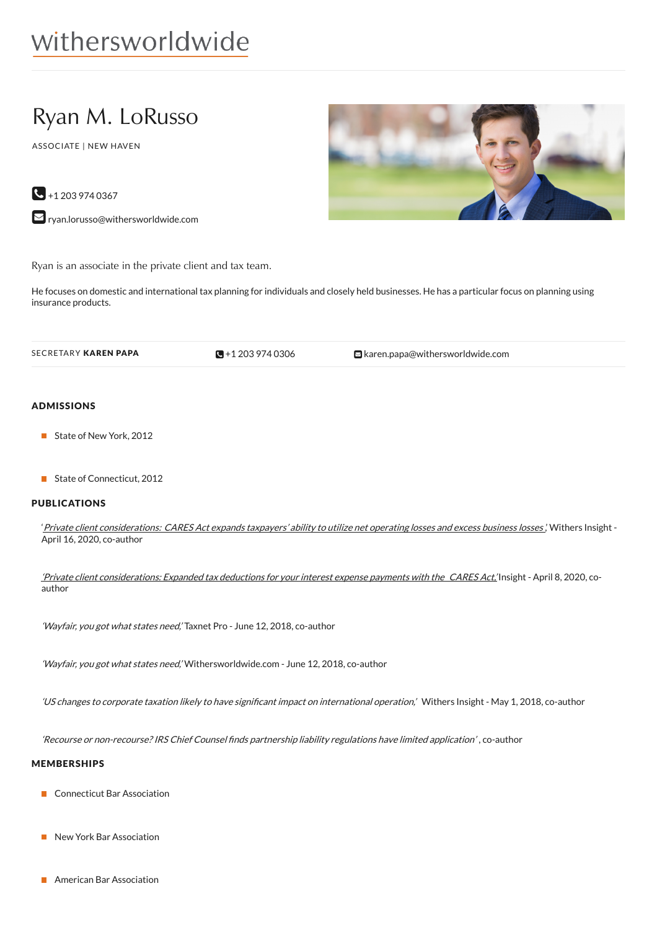# withersworldwide

## Ryan M. LoRusso

ASSOCIATE | NEW HAVEN

 $\bigodot$  +1 203 974 0367

[ryan.lorusso@withersworldwide.com](mailto:ryan.lorusso@withersworldwide.com?subject=Website Enquiry - Profile Page)

Ryan is an associate in the private client and tax team.

He focuses on domestic and international tax planning for individuals and closely held businesses. He has a particular focus on planning using insurance products.

 $\blacksquare$  +1 203 974 0306

SECRETARY KAREN PAPA  $\bullet$  +1 203 974 [0306](tel:+1 203 974 0306) aren.papa@withersworldwide.com

#### ADMISSIONS

- State of New York, 2012
- State of Connecticut, 2012

#### PUBLICATIONS

'Private client [considerations:](https://www.withersworldwide.com/en-gb/insight/private-client-considerations-cares-act-expands-taxpayers-ability-to-utilize-net-operating-losses-and-excess-business-losses) CARES Act expands taxpayers' ability to utilize net operating losses and excess business losses.' Withers Insight -April 16, 2020, co-author

'Private client [considerations:](https://www.withersworldwide.com/en-gb/insight/private-client-considerations-expanded-tax-deductions-for-your-interest-expense-payments-with-the-cares-actWithers) Expanded tax deductions for your interest expense payments with the CARES Act,' Insight - April 8, 2020, coauthor

'Wayfair, you got what states need,' Taxnet Pro - June 12, 2018, co-author

'Wayfair, you got what states need,' Withersworldwide.com - June 12, 2018, co-author

'US changes to corporate taxation likely to have significant impact on international operation,' Withers Insight - May 1, 2018, co-author

'Recourse or non-recourse? IRS Chief Counsel finds partnership liability regulations have limited application', co-author

#### MEMBERSHIPS

- Connecticut Bar Association
- New York Bar Association
- American Bar Association